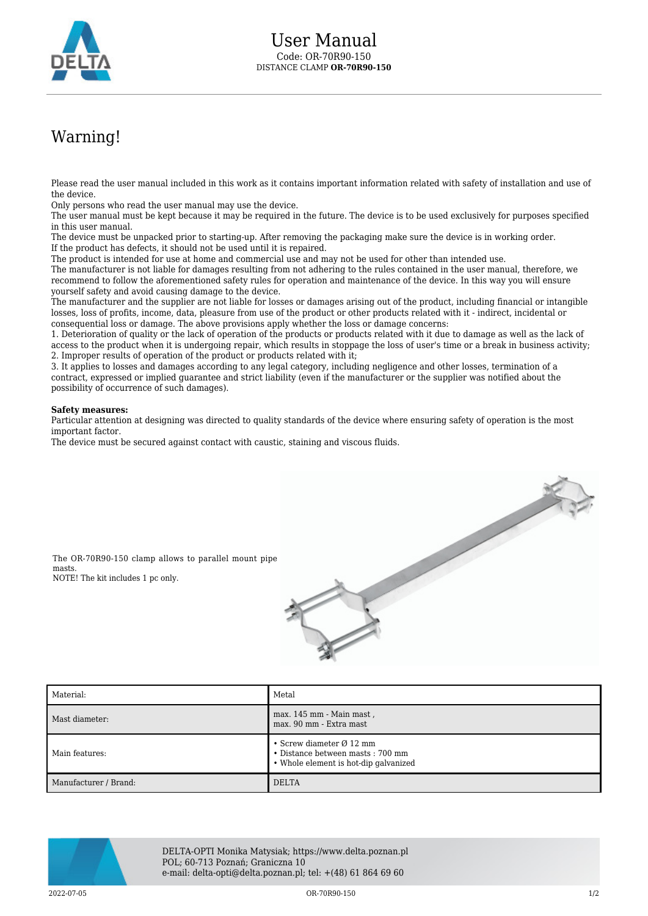

## Warning!

Please read the user manual included in this work as it contains important information related with safety of installation and use of the device.

Only persons who read the user manual may use the device.

The user manual must be kept because it may be required in the future. The device is to be used exclusively for purposes specified in this user manual.

The device must be unpacked prior to starting-up. After removing the packaging make sure the device is in working order. If the product has defects, it should not be used until it is repaired.

The product is intended for use at home and commercial use and may not be used for other than intended use.

The manufacturer is not liable for damages resulting from not adhering to the rules contained in the user manual, therefore, we recommend to follow the aforementioned safety rules for operation and maintenance of the device. In this way you will ensure yourself safety and avoid causing damage to the device.

The manufacturer and the supplier are not liable for losses or damages arising out of the product, including financial or intangible losses, loss of profits, income, data, pleasure from use of the product or other products related with it - indirect, incidental or consequential loss or damage. The above provisions apply whether the loss or damage concerns:

1. Deterioration of quality or the lack of operation of the products or products related with it due to damage as well as the lack of access to the product when it is undergoing repair, which results in stoppage the loss of user's time or a break in business activity; 2. Improper results of operation of the product or products related with it;

3. It applies to losses and damages according to any legal category, including negligence and other losses, termination of a contract, expressed or implied guarantee and strict liability (even if the manufacturer or the supplier was notified about the possibility of occurrence of such damages).

## **Safety measures:**

Particular attention at designing was directed to quality standards of the device where ensuring safety of operation is the most important factor.

The device must be secured against contact with caustic, staining and viscous fluids.



The OR-70R90-150 clamp allows to parallel mount pipe masts. NOTE! The kit includes 1 pc only.



| Material:             | Metal                                                                                                             |
|-----------------------|-------------------------------------------------------------------------------------------------------------------|
| Mast diameter:        | max. 145 mm - Main mast,<br>max. 90 mm - Extra mast                                                               |
| Main features:        | • Screw diameter $\varnothing$ 12 mm<br>• Distance between masts: 700 mm<br>• Whole element is hot-dip galvanized |
| Manufacturer / Brand: | <b>DELTA</b>                                                                                                      |



DELTA-OPTI Monika Matysiak; https://www.delta.poznan.pl POL; 60-713 Poznań; Graniczna 10 e-mail: delta-opti@delta.poznan.pl; tel: +(48) 61 864 69 60